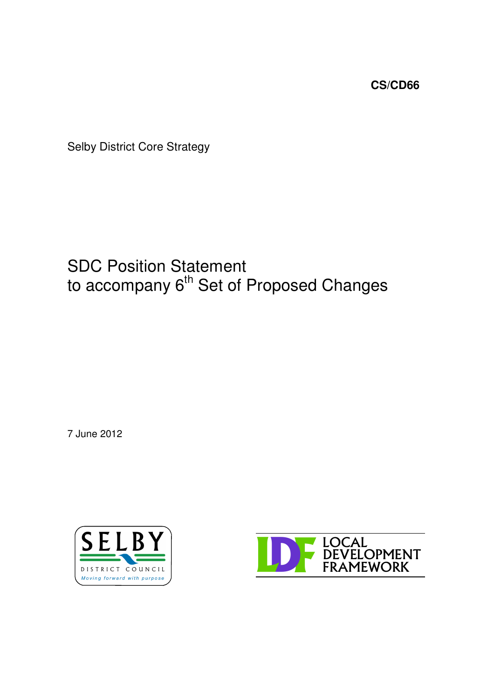**CS/CD66**

Selby District Core Strategy

# SDC Position Statement to accompany 6<sup>th</sup> Set of Proposed Changes

7 June 2012



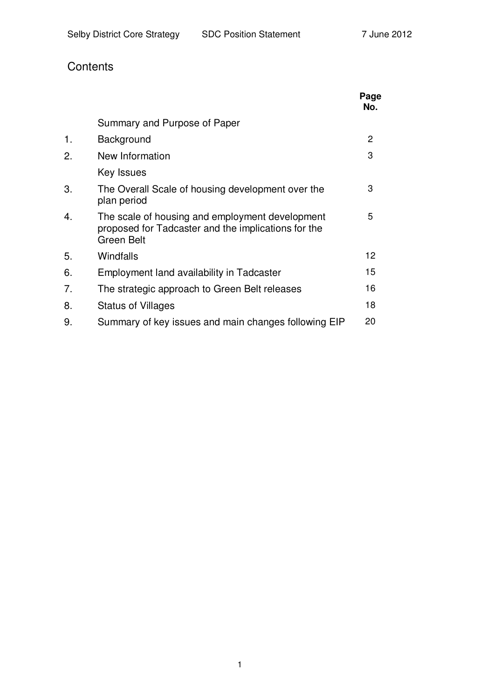# **Contents**

|    |                                                                                                                             | Page<br>No. |
|----|-----------------------------------------------------------------------------------------------------------------------------|-------------|
|    | Summary and Purpose of Paper                                                                                                |             |
| 1. | Background                                                                                                                  | 2           |
| 2. | New Information                                                                                                             | 3           |
|    | Key Issues                                                                                                                  |             |
| 3. | The Overall Scale of housing development over the<br>plan period                                                            | 3           |
| 4. | The scale of housing and employment development<br>proposed for Tadcaster and the implications for the<br><b>Green Belt</b> | 5           |
| 5. | Windfalls                                                                                                                   | 12          |
| 6. | Employment land availability in Tadcaster                                                                                   | 15          |
| 7. | The strategic approach to Green Belt releases                                                                               | 16          |
| 8. | <b>Status of Villages</b>                                                                                                   | 18          |
| 9. | Summary of key issues and main changes following EIP                                                                        | 20          |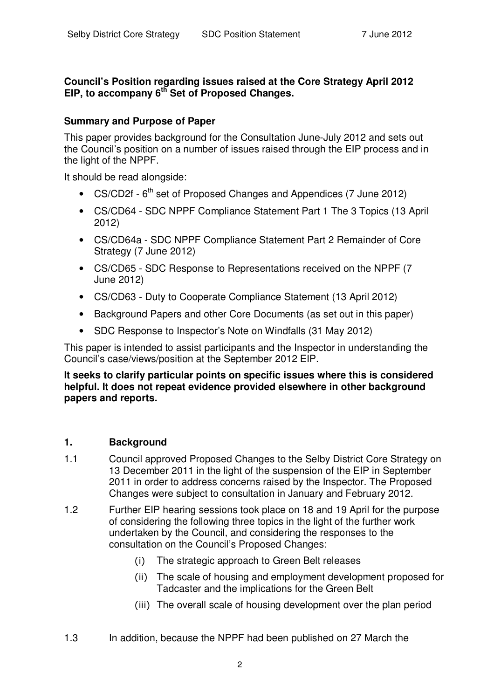#### **Council's Position regarding issues raised at the Core Strategy April 2012 EIP, to accompany 6 th Set of Proposed Changes.**

#### **Summary and Purpose of Paper**

This paper provides background for the Consultation June-July 2012 and sets out the Council's position on a number of issues raised through the EIP process and in the light of the NPPF.

It should be read alongside:

- CS/CD2f 6<sup>th</sup> set of Proposed Changes and Appendices (7 June 2012)
- CS/CD64 SDC NPPF Compliance Statement Part 1 The 3 Topics (13 April 2012)
- CS/CD64a SDC NPPF Compliance Statement Part 2 Remainder of Core Strategy (7 June 2012)
- CS/CD65 SDC Response to Representations received on the NPPF (7 June 2012)
- CS/CD63 Duty to Cooperate Compliance Statement (13 April 2012)
- Background Papers and other Core Documents (as set out in this paper)
- SDC Response to Inspector's Note on Windfalls (31 May 2012)

This paper is intended to assist participants and the Inspector in understanding the Council's case/views/position at the September 2012 EIP.

**It seeks to clarify particular points on specific issues where this is considered helpful. It does not repeat evidence provided elsewhere in other background papers and reports.**

#### **1. Background**

- 1.1 Council approved Proposed Changes to the Selby District Core Strategy on 13 December 2011 in the light of the suspension of the EIP in September 2011 in order to address concerns raised by the Inspector. The Proposed Changes were subject to consultation in January and February 2012.
- 1.2 Further EIP hearing sessions took place on 18 and 19 April for the purpose of considering the following three topics in the light of the further work undertaken by the Council, and considering the responses to the consultation on the Council's Proposed Changes:
	- The strategic approach to Green Belt releases
	- (ii) The scale of housing and employment development proposed for Tadcaster and the implications for the Green Belt
	- (iii) The overall scale of housing development over the plan period
- 1.3 In addition, because the NPPF had been published on 27 March the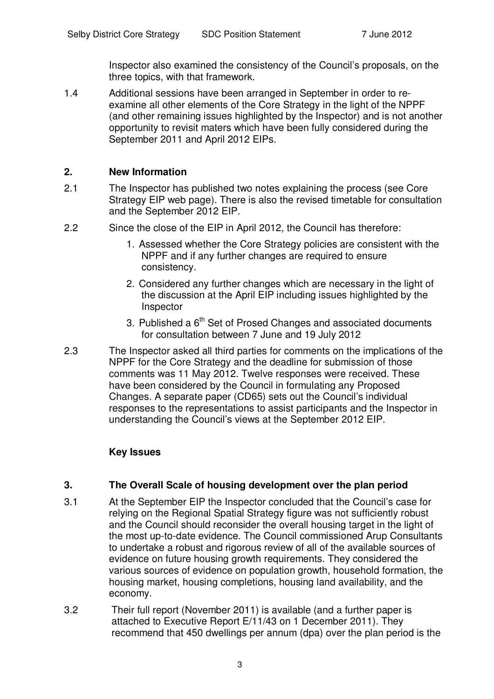Inspector also examined the consistency of the Council's proposals, on the three topics, with that framework.

1.4 Additional sessions have been arranged in September in order to reexamine all other elements of the Core Strategy in the light of the NPPF (and other remaining issues highlighted by the Inspector) and is not another opportunity to revisit maters which have been fully considered during the September 2011 and April 2012 EIPs.

#### **2. New Information**

- 2.1 The Inspector has published two notes explaining the process (see Core Strategy EIP web page). There is also the revised timetable for consultation and the September 2012 EIP.
- 2.2 Since the close of the EIP in April 2012, the Council has therefore:
	- 1. Assessed whether the Core Strategy policies are consistent with the NPPF and if any further changes are required to ensure consistency.
	- 2. Considered any further changes which are necessary in the light of the discussion at the April EIP including issues highlighted by the Inspector
	- 3. Published a  $6<sup>th</sup>$  Set of Prosed Changes and associated documents for consultation between 7 June and 19 July 2012
- 2.3 The Inspector asked all third parties for comments on the implications of the NPPF for the Core Strategy and the deadline for submission of those comments was 11 May 2012. Twelve responses were received. These have been considered by the Council in formulating any Proposed Changes. A separate paper (CD65) sets out the Council's individual responses to the representations to assist participants and the Inspector in understanding the Council's views at the September 2012 EIP.

# **Key Issues**

#### **3. The Overall Scale of housing development over the plan period**

- 3.1 At the September EIP the Inspector concluded that the Council's case for relying on the Regional Spatial Strategy figure was not sufficiently robust and the Council should reconsider the overall housing target in the light of the most up-to-date evidence. The Council commissioned Arup Consultants to undertake a robust and rigorous review of all of the available sources of evidence on future housing growth requirements. They considered the various sources of evidence on population growth, household formation, the housing market, housing completions, housing land availability, and the economy.
- 3.2 Their full report (November 2011) is available (and a further paper is attached to Executive Report E/11/43 on 1 December 2011). They recommend that 450 dwellings per annum (dpa) over the plan period is the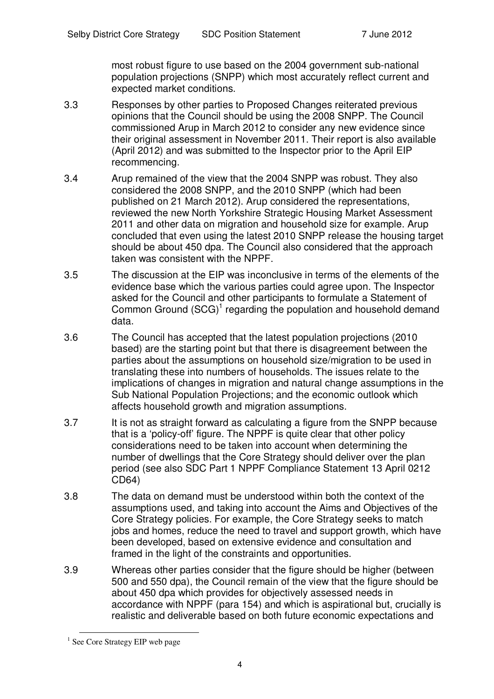most robust figure to use based on the 2004 government sub-national population projections (SNPP) which most accurately reflect current and expected market conditions.

- 3.3 Responses by other parties to Proposed Changes reiterated previous opinions that the Council should be using the 2008 SNPP. The Council commissioned Arup in March 2012 to consider any new evidence since their original assessment in November 2011. Their report is also available (April 2012) and was submitted to the Inspector prior to the April EIP recommencing.
- 3.4 Arup remained of the view that the 2004 SNPP was robust. They also considered the 2008 SNPP, and the 2010 SNPP (which had been published on 21 March 2012). Arup considered the representations, reviewed the new North Yorkshire Strategic Housing Market Assessment 2011 and other data on migration and household size for example. Arup concluded that even using the latest 2010 SNPP release the housing target should be about 450 dpa. The Council also considered that the approach taken was consistent with the NPPF.
- 3.5 The discussion at the EIP was inconclusive in terms of the elements of the evidence base which the various parties could agree upon. The Inspector asked for the Council and other participants to formulate a Statement of Common Ground (SCG)<sup>1</sup> regarding the population and household demand data.
- 3.6 The Council has accepted that the latest population projections (2010 based) are the starting point but that there is disagreement between the parties about the assumptions on household size/migration to be used in translating these into numbers of households. The issues relate to the implications of changes in migration and natural change assumptions in the Sub National Population Projections; and the economic outlook which affects household growth and migration assumptions.
- 3.7 It is not as straight forward as calculating a figure from the SNPP because that is a 'policy-off' figure. The NPPF is quite clear that other policy considerations need to be taken into account when determining the number of dwellings that the Core Strategy should deliver over the plan period (see also SDC Part 1 NPPF Compliance Statement 13 April 0212 CD64)
- 3.8 The data on demand must be understood within both the context of the assumptions used, and taking into account the Aims and Objectives of the Core Strategy policies. For example, the Core Strategy seeks to match jobs and homes, reduce the need to travel and support growth, which have been developed, based on extensive evidence and consultation and framed in the light of the constraints and opportunities.
- 3.9 Whereas other parties consider that the figure should be higher (between 500 and 550 dpa), the Council remain of the view that the figure should be about 450 dpa which provides for objectively assessed needs in accordance with NPPF (para 154) and which is aspirational but, crucially is realistic and deliverable based on both future economic expectations and

<sup>&</sup>lt;sup>1</sup> See Core Strategy EIP web page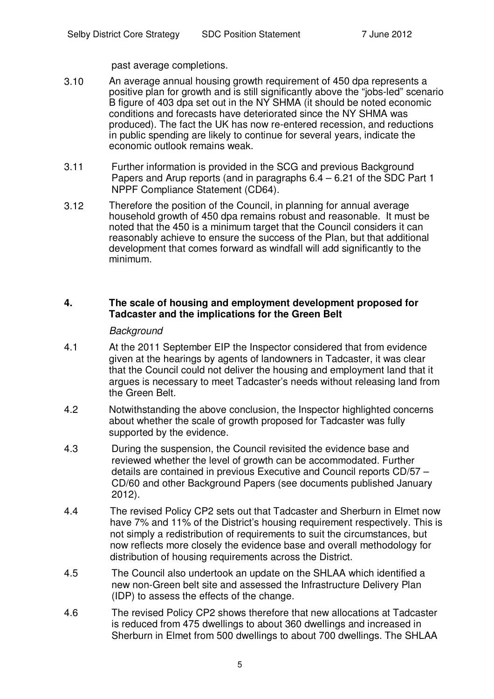past average completions.

- 3.10 An average annual housing growth requirement of 450 dpa represents a positive plan for growth and is still significantly above the "jobs-led" scenario B figure of 403 dpa set out in the NY SHMA (it should be noted economic conditions and forecasts have deteriorated since the NY SHMA was produced). The fact the UK has now re-entered recession, and reductions in public spending are likely to continue for several years, indicate the economic outlook remains weak.
- 3.11 Further information is provided in the SCG and previous Background Papers and Arup reports (and in paragraphs 6.4 – 6.21 of the SDC Part 1 NPPF Compliance Statement (CD64).
- 3.12 Therefore the position of the Council, in planning for annual average household growth of 450 dpa remains robust and reasonable. It must be noted that the 450 is a minimum target that the Council considers it can reasonably achieve to ensure the success of the Plan, but that additional development that comes forward as windfall will add significantly to the minimum.

#### **4. The scale of housing and employment development proposed for Tadcaster and the implications for the Green Belt**

#### *Background*

- 4.1 At the 2011 September EIP the Inspector considered that from evidence given at the hearings by agents of landowners in Tadcaster, it was clear that the Council could not deliver the housing and employment land that it argues is necessary to meet Tadcaster's needs without releasing land from the Green Belt.
- 4.2 Notwithstanding the above conclusion, the Inspector highlighted concerns about whether the scale of growth proposed for Tadcaster was fully supported by the evidence.
- 4.3 During the suspension, the Council revisited the evidence base and reviewed whether the level of growth can be accommodated. Further details are contained in previous Executive and Council reports CD/57 – CD/60 and other Background Papers (see documents published January 2012).
- 4.4 The revised Policy CP2 sets out that Tadcaster and Sherburn in Elmet now have 7% and 11% of the District's housing requirement respectively. This is not simply a redistribution of requirements to suit the circumstances, but now reflects more closely the evidence base and overall methodology for distribution of housing requirements across the District.
- 4.5 The Council also undertook an update on the SHLAA which identified a new non-Green belt site and assessed the Infrastructure Delivery Plan (IDP) to assess the effects of the change.
- 4.6 The revised Policy CP2 shows therefore that new allocations at Tadcaster is reduced from 475 dwellings to about 360 dwellings and increased in Sherburn in Elmet from 500 dwellings to about 700 dwellings. The SHLAA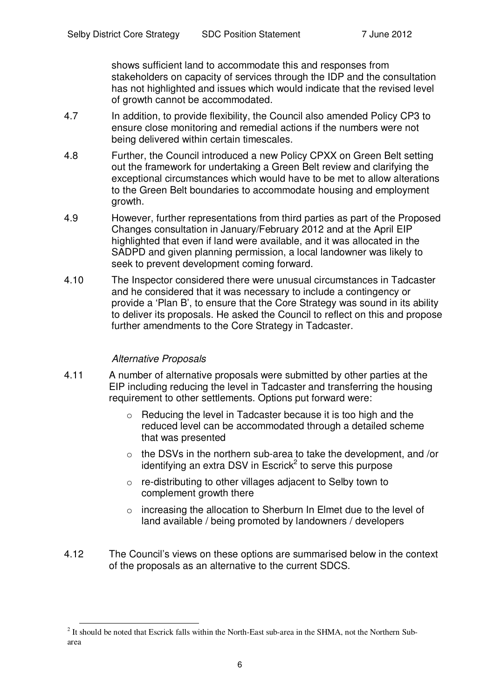shows sufficient land to accommodate this and responses from stakeholders on capacity of services through the IDP and the consultation has not highlighted and issues which would indicate that the revised level of growth cannot be accommodated.

- 4.7 In addition, to provide flexibility, the Council also amended Policy CP3 to ensure close monitoring and remedial actions if the numbers were not being delivered within certain timescales.
- 4.8 Further, the Council introduced a new Policy CPXX on Green Belt setting out the framework for undertaking a Green Belt review and clarifying the exceptional circumstances which would have to be met to allow alterations to the Green Belt boundaries to accommodate housing and employment growth.
- 4.9 However, further representations from third parties as part of the Proposed Changes consultation in January/February 2012 and at the April EIP highlighted that even if land were available, and it was allocated in the SADPD and given planning permission, a local landowner was likely to seek to prevent development coming forward.
- 4.10 The Inspector considered there were unusual circumstances in Tadcaster and he considered that it was necessary to include a contingency or provide a 'Plan B', to ensure that the Core Strategy was sound in its ability to deliver its proposals. He asked the Council to reflect on this and propose further amendments to the Core Strategy in Tadcaster.

#### *Alternative Proposals*

- 4.11 A number of alternative proposals were submitted by other parties at the EIP including reducing the level in Tadcaster and transferring the housing requirement to other settlements. Options put forward were:
	- $\circ$  Reducing the level in Tadcaster because it is too high and the reduced level can be accommodated through a detailed scheme that was presented
	- $\circ$  the DSVs in the northern sub-area to take the development, and /or identifying an extra DSV in Escrick<sup>2</sup> to serve this purpose
	- o re-distributing to other villages adjacent to Selby town to complement growth there
	- $\circ$  increasing the allocation to Sherburn In Elmet due to the level of land available / being promoted by landowners / developers
- 4.12 The Council's views on these options are summarised below in the context of the proposals as an alternative to the current SDCS.

 $2$  It should be noted that Escrick falls within the North-East sub-area in the SHMA, not the Northern Subarea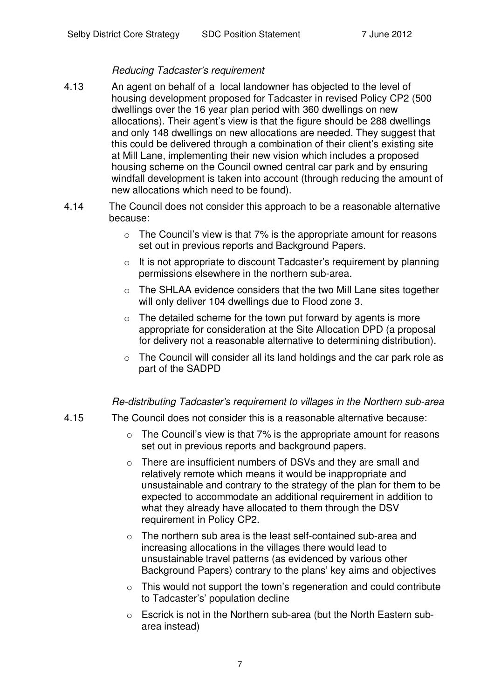#### *Reducing Tadcaster's requirement*

- 4.13 An agent on behalf of a local landowner has objected to the level of housing development proposed for Tadcaster in revised Policy CP2 (500 dwellings over the 16 year plan period with 360 dwellings on new allocations). Their agent's view is that the figure should be 288 dwellings and only 148 dwellings on new allocations are needed. They suggest that this could be delivered through a combination of their client's existing site at Mill Lane, implementing their new vision which includes a proposed housing scheme on the Council owned central car park and by ensuring windfall development is taken into account (through reducing the amount of new allocations which need to be found).
- 4.14 The Council does not consider this approach to be a reasonable alternative because:
	- $\circ$  The Council's view is that 7% is the appropriate amount for reasons set out in previous reports and Background Papers.
	- $\circ$  It is not appropriate to discount Tadcaster's requirement by planning permissions elsewhere in the northern sub-area.
	- o The SHLAA evidence considers that the two Mill Lane sites together will only deliver 104 dwellings due to Flood zone 3.
	- $\circ$  The detailed scheme for the town put forward by agents is more appropriate for consideration at the Site Allocation DPD (a proposal for delivery not a reasonable alternative to determining distribution).
	- o The Council will consider all its land holdings and the car park role as part of the SADPD

#### *Re-distributing Tadcaster's requirement to villages in the Northern sub-area*

- 4.15 The Council does not consider this is a reasonable alternative because:
	- $\circ$  The Council's view is that 7% is the appropriate amount for reasons set out in previous reports and background papers.
	- o There are insufficient numbers of DSVs and they are small and relatively remote which means it would be inappropriate and unsustainable and contrary to the strategy of the plan for them to be expected to accommodate an additional requirement in addition to what they already have allocated to them through the DSV requirement in Policy CP2.
	- $\circ$  The northern sub area is the least self-contained sub-area and increasing allocations in the villages there would lead to unsustainable travel patterns (as evidenced by various other Background Papers) contrary to the plans' key aims and objectives
	- $\circ$  This would not support the town's regeneration and could contribute to Tadcaster's' population decline
	- o Escrick is not in the Northern sub-area (but the North Eastern subarea instead)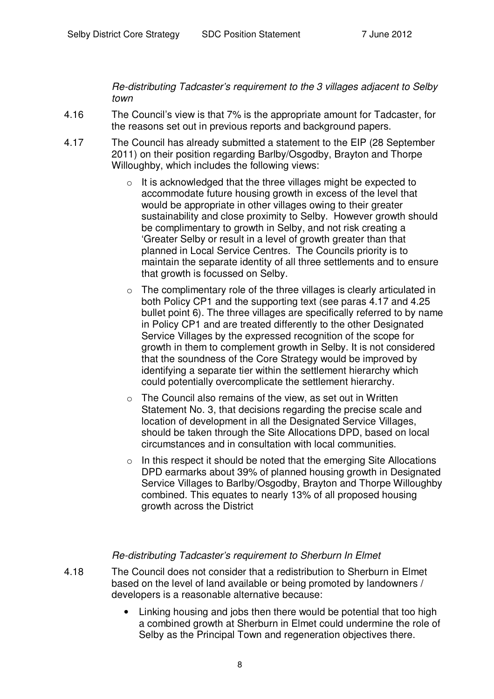*Re-distributing Tadcaster's requirement to the 3 villages adjacent to Selby town*

- 4.16 The Council's view is that 7% is the appropriate amount for Tadcaster, for the reasons set out in previous reports and background papers.
- 4.17 The Council has already submitted a statement to the EIP (28 September 2011) on their position regarding Barlby/Osgodby, Brayton and Thorpe Willoughby, which includes the following views:
	- $\circ$  It is acknowledged that the three villages might be expected to accommodate future housing growth in excess of the level that would be appropriate in other villages owing to their greater sustainability and close proximity to Selby. However growth should be complimentary to growth in Selby, and not risk creating a 'Greater Selby or result in a level of growth greater than that planned in Local Service Centres. The Councils priority is to maintain the separate identity of all three settlements and to ensure that growth is focussed on Selby.
	- $\circ$  The complimentary role of the three villages is clearly articulated in both Policy CP1 and the supporting text (see paras 4.17 and 4.25 bullet point 6). The three villages are specifically referred to by name in Policy CP1 and are treated differently to the other Designated Service Villages by the expressed recognition of the scope for growth in them to complement growth in Selby. It is not considered that the soundness of the Core Strategy would be improved by identifying a separate tier within the settlement hierarchy which could potentially overcomplicate the settlement hierarchy.
	- $\circ$  The Council also remains of the view, as set out in Written Statement No. 3, that decisions regarding the precise scale and location of development in all the Designated Service Villages, should be taken through the Site Allocations DPD, based on local circumstances and in consultation with local communities.
	- $\circ$  In this respect it should be noted that the emerging Site Allocations DPD earmarks about 39% of planned housing growth in Designated Service Villages to Barlby/Osgodby, Brayton and Thorpe Willoughby combined. This equates to nearly 13% of all proposed housing growth across the District

#### *Re-distributing Tadcaster's requirement to Sherburn In Elmet*

- 4.18 The Council does not consider that a redistribution to Sherburn in Elmet based on the level of land available or being promoted by landowners / developers is a reasonable alternative because:
	- Linking housing and jobs then there would be potential that too high a combined growth at Sherburn in Elmet could undermine the role of Selby as the Principal Town and regeneration objectives there.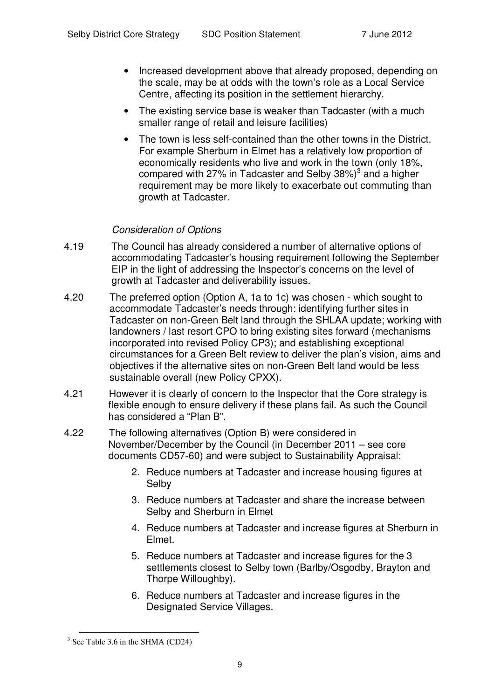- Increased development above that already proposed, depending on the scale, may be at odds with the town's role as a Local Service Centre, affecting its position in the settlement hierarchy.
- The existing service base is weaker than Tadcaster (with a much smaller range of retail and leisure facilities)
- The town is less self-contained than the other towns in the District. For example Sherburn in Elmet has a relatively low proportion of economically residents who live and work in the town (only 18%, compared with 27% in Tadcaster and Selby 38%) $^3$  and a higher requirement may be more likely to exacerbate out commuting than growth at Tadcaster.

### *Consideration of Options*

- 4.19 The Council has already considered a number of alternative options of accommodating Tadcaster's housing requirement following the September EIP in the light of addressing the Inspector's concerns on the level of growth at Tadcaster and deliverability issues.
- 4.20 The preferred option (Option A, 1a to 1c) was chosen which sought to accommodate Tadcaster's needs through: identifying further sites in Tadcaster on non-Green Belt land through the SHLAA update; working with landowners / last resort CPO to bring existing sites forward (mechanisms incorporated into revised Policy CP3); and establishing exceptional circumstances for a Green Belt review to deliver the plan's vision, aims and objectives if the alternative sites on non-Green Belt land would be less sustainable overall (new Policy CPXX).
- 4.21 However it is clearly of concern to the Inspector that the Core strategy is flexible enough to ensure delivery if these plans fail. As such the Council has considered a "Plan B".
- 4.22 The following alternatives (Option B) were considered in November/December by the Council (in December 2011 – see core documents CD57-60) and were subject to Sustainability Appraisal:
	- 2. Reduce numbers at Tadcaster and increase housing figures at Selby
	- 3. Reduce numbers at Tadcaster and share the increase between Selby and Sherburn in Elmet
	- 4. Reduce numbers at Tadcaster and increase figures at Sherburn in Elmet.
	- 5. Reduce numbers at Tadcaster and increase figures for the 3 settlements closest to Selby town (Barlby/Osgodby, Brayton and Thorpe Willoughby).
	- 6. Reduce numbers at Tadcaster and increase figures in the Designated Service Villages.

<sup>&</sup>lt;sup>3</sup> See Table 3.6 in the SHMA (CD24)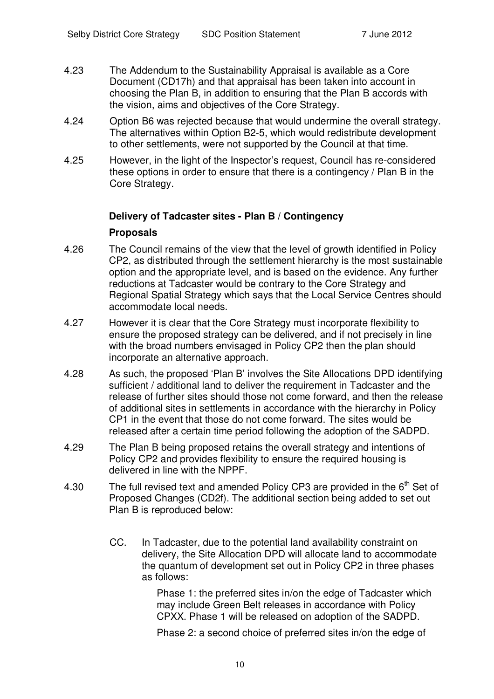- 4.23 The Addendum to the Sustainability Appraisal is available as a Core Document (CD17h) and that appraisal has been taken into account in choosing the Plan B, in addition to ensuring that the Plan B accords with the vision, aims and objectives of the Core Strategy.
- 4.24 Option B6 was rejected because that would undermine the overall strategy. The alternatives within Option B2-5, which would redistribute development to other settlements, were not supported by the Council at that time.
- 4.25 However, in the light of the Inspector's request, Council has re-considered these options in order to ensure that there is a contingency / Plan B in the Core Strategy.

#### **Delivery of Tadcaster sites - Plan B / Contingency**

#### **Proposals**

- 4.26 The Council remains of the view that the level of growth identified in Policy CP2, as distributed through the settlement hierarchy is the most sustainable option and the appropriate level, and is based on the evidence. Any further reductions at Tadcaster would be contrary to the Core Strategy and Regional Spatial Strategy which says that the Local Service Centres should accommodate local needs.
- 4.27 However it is clear that the Core Strategy must incorporate flexibility to ensure the proposed strategy can be delivered, and if not precisely in line with the broad numbers envisaged in Policy CP2 then the plan should incorporate an alternative approach.
- 4.28 As such, the proposed 'Plan B' involves the Site Allocations DPD identifying sufficient / additional land to deliver the requirement in Tadcaster and the release of further sites should those not come forward, and then the release of additional sites in settlements in accordance with the hierarchy in Policy CP1 in the event that those do not come forward. The sites would be released after a certain time period following the adoption of the SADPD.
- 4.29 The Plan B being proposed retains the overall strategy and intentions of Policy CP2 and provides flexibility to ensure the required housing is delivered in line with the NPPF.
- 4.30 The full revised text and amended Policy CP3 are provided in the  $6<sup>th</sup>$  Set of Proposed Changes (CD2f). The additional section being added to set out Plan B is reproduced below:
	- CC. In Tadcaster, due to the potential land availability constraint on delivery, the Site Allocation DPD will allocate land to accommodate the quantum of development set out in Policy CP2 in three phases as follows:

Phase 1: the preferred sites in/on the edge of Tadcaster which may include Green Belt releases in accordance with Policy CPXX. Phase 1 will be released on adoption of the SADPD.

Phase 2: a second choice of preferred sites in/on the edge of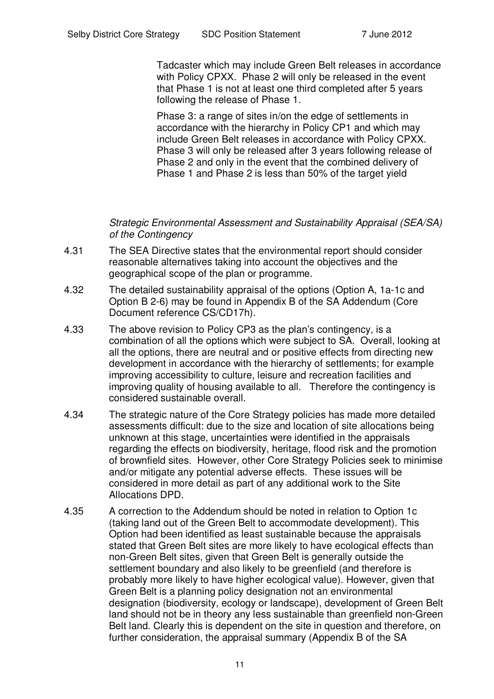Tadcaster which may include Green Belt releases in accordance with Policy CPXX. Phase 2 will only be released in the event that Phase 1 is not at least one third completed after 5 years following the release of Phase 1.

Phase 3: a range of sites in/on the edge of settlements in accordance with the hierarchy in Policy CP1 and which may include Green Belt releases in accordance with Policy CPXX. Phase 3 will only be released after 3 years following release of Phase 2 and only in the event that the combined delivery of Phase 1 and Phase 2 is less than 50% of the target yield

*Strategic Environmental Assessment and Sustainability Appraisal (SEA/SA) of the Contingency*

- 4.31 The SEA Directive states that the environmental report should consider reasonable alternatives taking into account the objectives and the geographical scope of the plan or programme.
- 4.32 The detailed sustainability appraisal of the options (Option A, 1a-1c and Option B 2-6) may be found in Appendix B of the SA Addendum (Core Document reference CS/CD17h).
- 4.33 The above revision to Policy CP3 as the plan's contingency, is a combination of all the options which were subject to SA. Overall, looking at all the options, there are neutral and or positive effects from directing new development in accordance with the hierarchy of settlements; for example improving accessibility to culture, leisure and recreation facilities and improving quality of housing available to all. Therefore the contingency is considered sustainable overall.
- 4.34 The strategic nature of the Core Strategy policies has made more detailed assessments difficult: due to the size and location of site allocations being unknown at this stage, uncertainties were identified in the appraisals regarding the effects on biodiversity, heritage, flood risk and the promotion of brownfield sites. However, other Core Strategy Policies seek to minimise and/or mitigate any potential adverse effects. These issues will be considered in more detail as part of any additional work to the Site Allocations DPD.
- 4.35 A correction to the Addendum should be noted in relation to Option 1c (taking land out of the Green Belt to accommodate development). This Option had been identified as least sustainable because the appraisals stated that Green Belt sites are more likely to have ecological effects than non-Green Belt sites, given that Green Belt is generally outside the settlement boundary and also likely to be greenfield (and therefore is probably more likely to have higher ecological value). However, given that Green Belt is a planning policy designation not an environmental designation (biodiversity, ecology or landscape), development of Green Belt land should not be in theory any less sustainable than greenfield non-Green Belt land. Clearly this is dependent on the site in question and therefore, on further consideration, the appraisal summary (Appendix B of the SA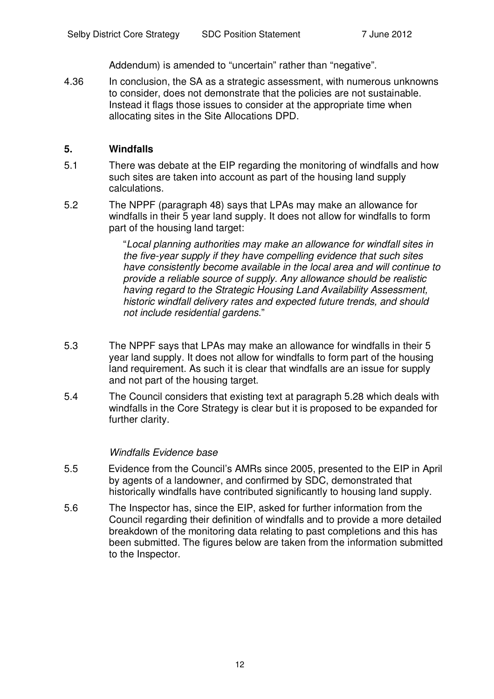Addendum) is amended to "uncertain" rather than "negative".

4.36 In conclusion, the SA as a strategic assessment, with numerous unknowns to consider, does not demonstrate that the policies are not sustainable. Instead it flags those issues to consider at the appropriate time when allocating sites in the Site Allocations DPD.

#### **5. Windfalls**

- 5.1 There was debate at the EIP regarding the monitoring of windfalls and how such sites are taken into account as part of the housing land supply calculations.
- 5.2 The NPPF (paragraph 48) says that LPAs may make an allowance for windfalls in their 5 year land supply. It does not allow for windfalls to form part of the housing land target:

"*Local planning authorities may make an allowance for windfall sites in the five-year supply if they have compelling evidence that such sites have consistently become available in the local area and will continue to provide a reliable source of supply. Any allowance should be realistic having regard to the Strategic Housing Land Availability Assessment, historic windfall delivery rates and expected future trends, and should not include residential gardens*."

- 5.3 The NPPF says that LPAs may make an allowance for windfalls in their 5 year land supply. It does not allow for windfalls to form part of the housing land requirement. As such it is clear that windfalls are an issue for supply and not part of the housing target.
- 5.4 The Council considers that existing text at paragraph 5.28 which deals with windfalls in the Core Strategy is clear but it is proposed to be expanded for further clarity.

#### *Windfalls Evidence base*

- 5.5 Evidence from the Council's AMRs since 2005, presented to the EIP in April by agents of a landowner, and confirmed by SDC, demonstrated that historically windfalls have contributed significantly to housing land supply.
- 5.6 The Inspector has, since the EIP, asked for further information from the Council regarding their definition of windfalls and to provide a more detailed breakdown of the monitoring data relating to past completions and this has been submitted. The figures below are taken from the information submitted to the Inspector.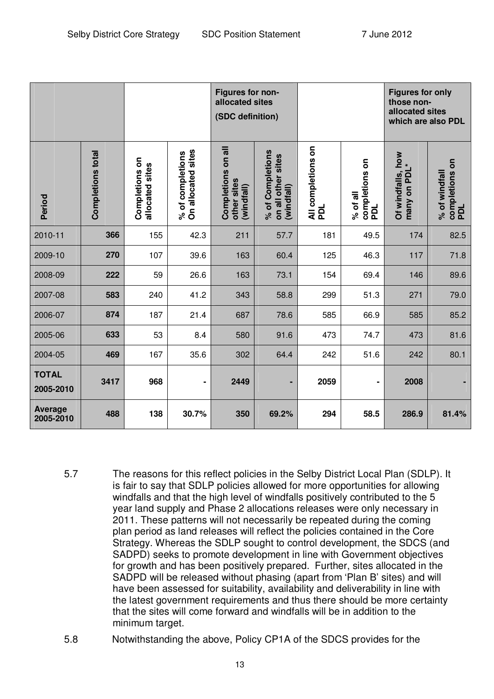|                             |                          |                                   |                                        | Figures for non-<br>allocated sites<br>(SDC definition) |                                                      |                           |                                                         | <b>Figures for only</b><br>those non-<br>allocated sites<br>which are also PDL |                                        |
|-----------------------------|--------------------------|-----------------------------------|----------------------------------------|---------------------------------------------------------|------------------------------------------------------|---------------------------|---------------------------------------------------------|--------------------------------------------------------------------------------|----------------------------------------|
| Period                      | <b>Completions total</b> | Completions on<br>allocated sites | On allocated sites<br>% of completions | Completions on all<br>other sites<br>(windfall)         | % of Completions<br>on all other sites<br>(windfall) | All completions on<br>PDL | $\overline{\bf{5}}$<br>completions o<br>PDL<br>% of all | Of windfalls, how<br>many on PDL*                                              | completions on<br>% of windfall<br>pol |
| 2010-11                     | 366                      | 155                               | 42.3                                   | 211                                                     | 57.7                                                 | 181                       | 49.5                                                    | 174                                                                            | 82.5                                   |
| 2009-10                     | 270                      | 107                               | 39.6                                   | 163                                                     | 60.4                                                 | 125                       | 46.3                                                    | 117                                                                            | 71.8                                   |
| 2008-09                     | 222                      | 59                                | 26.6                                   | 163                                                     | 73.1                                                 | 154                       | 69.4                                                    | 146                                                                            | 89.6                                   |
| 2007-08                     | 583                      | 240                               | 41.2                                   | 343                                                     | 58.8                                                 | 299                       | 51.3                                                    | 271                                                                            | 79.0                                   |
| 2006-07                     | 874                      | 187                               | 21.4                                   | 687                                                     | 78.6                                                 | 585                       | 66.9                                                    | 585                                                                            | 85.2                                   |
| 2005-06                     | 633                      | 53                                | 8.4                                    | 580                                                     | 91.6                                                 | 473                       | 74.7                                                    | 473                                                                            | 81.6                                   |
| 2004-05                     | 469                      | 167                               | 35.6                                   | 302                                                     | 64.4                                                 | 242                       | 51.6                                                    | 242                                                                            | 80.1                                   |
| <b>TOTAL</b><br>2005-2010   | 3417                     | 968                               | -                                      | 2449                                                    | ۰                                                    | 2059                      | $\blacksquare$                                          | 2008                                                                           |                                        |
| <b>Average</b><br>2005-2010 | 488                      | 138                               | 30.7%                                  | 350                                                     | 69.2%                                                | 294                       | 58.5                                                    | 286.9                                                                          | 81.4%                                  |

- 5.7 The reasons for this reflect policies in the Selby District Local Plan (SDLP). It is fair to say that SDLP policies allowed for more opportunities for allowing windfalls and that the high level of windfalls positively contributed to the 5 year land supply and Phase 2 allocations releases were only necessary in 2011. These patterns will not necessarily be repeated during the coming plan period as land releases will reflect the policies contained in the Core Strategy. Whereas the SDLP sought to control development, the SDCS (and SADPD) seeks to promote development in line with Government objectives for growth and has been positively prepared. Further, sites allocated in the SADPD will be released without phasing (apart from 'Plan B' sites) and will have been assessed for suitability, availability and deliverability in line with the latest government requirements and thus there should be more certainty that the sites will come forward and windfalls will be in addition to the minimum target.
- 5.8 Notwithstanding the above, Policy CP1A of the SDCS provides for the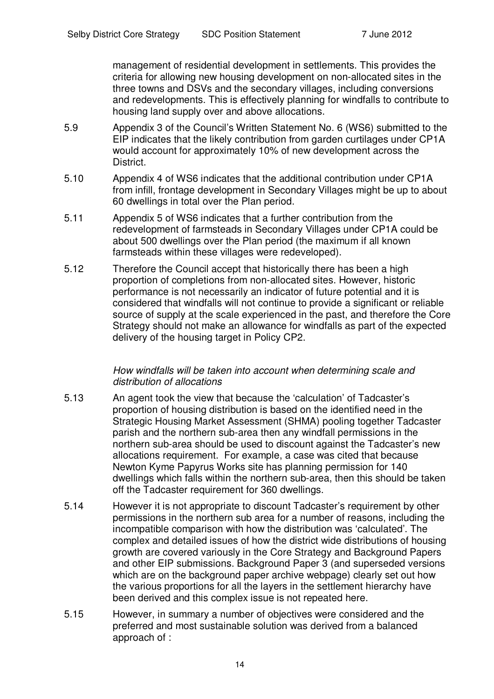management of residential development in settlements. This provides the criteria for allowing new housing development on non-allocated sites in the three towns and DSVs and the secondary villages, including conversions and redevelopments. This is effectively planning for windfalls to contribute to housing land supply over and above allocations.

- 5.9 Appendix 3 of the Council's Written Statement No. 6 (WS6) submitted to the EIP indicates that the likely contribution from garden curtilages under CP1A would account for approximately 10% of new development across the District.
- 5.10 Appendix 4 of WS6 indicates that the additional contribution under CP1A from infill, frontage development in Secondary Villages might be up to about 60 dwellings in total over the Plan period.
- 5.11 Appendix 5 of WS6 indicates that a further contribution from the redevelopment of farmsteads in Secondary Villages under CP1A could be about 500 dwellings over the Plan period (the maximum if all known farmsteads within these villages were redeveloped).
- 5.12 Therefore the Council accept that historically there has been a high proportion of completions from non-allocated sites. However, historic performance is not necessarily an indicator of future potential and it is considered that windfalls will not continue to provide a significant or reliable source of supply at the scale experienced in the past, and therefore the Core Strategy should not make an allowance for windfalls as part of the expected delivery of the housing target in Policy CP2.

#### *How windfalls will be taken into account when determining scale and distribution of allocations*

- 5.13 An agent took the view that because the 'calculation' of Tadcaster's proportion of housing distribution is based on the identified need in the Strategic Housing Market Assessment (SHMA) pooling together Tadcaster parish and the northern sub-area then any windfall permissions in the northern sub-area should be used to discount against the Tadcaster's new allocations requirement. For example, a case was cited that because Newton Kyme Papyrus Works site has planning permission for 140 dwellings which falls within the northern sub-area, then this should be taken off the Tadcaster requirement for 360 dwellings.
- 5.14 However it is not appropriate to discount Tadcaster's requirement by other permissions in the northern sub area for a number of reasons, including the incompatible comparison with how the distribution was 'calculated'. The complex and detailed issues of how the district wide distributions of housing growth are covered variously in the Core Strategy and Background Papers and other EIP submissions. Background Paper 3 (and superseded versions which are on the background paper archive webpage) clearly set out how the various proportions for all the layers in the settlement hierarchy have been derived and this complex issue is not repeated here.
- 5.15 However, in summary a number of objectives were considered and the preferred and most sustainable solution was derived from a balanced approach of :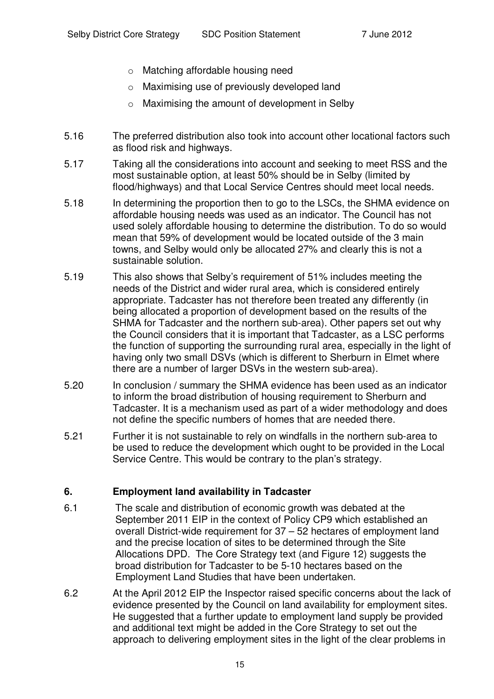- o Matching affordable housing need
- o Maximising use of previously developed land
- o Maximising the amount of development in Selby
- 5.16 The preferred distribution also took into account other locational factors such as flood risk and highways.
- 5.17 Taking all the considerations into account and seeking to meet RSS and the most sustainable option, at least 50% should be in Selby (limited by flood/highways) and that Local Service Centres should meet local needs.
- 5.18 In determining the proportion then to go to the LSCs, the SHMA evidence on affordable housing needs was used as an indicator. The Council has not used solely affordable housing to determine the distribution. To do so would mean that 59% of development would be located outside of the 3 main towns, and Selby would only be allocated 27% and clearly this is not a sustainable solution.
- 5.19 This also shows that Selby's requirement of 51% includes meeting the needs of the District and wider rural area, which is considered entirely appropriate. Tadcaster has not therefore been treated any differently (in being allocated a proportion of development based on the results of the SHMA for Tadcaster and the northern sub-area). Other papers set out why the Council considers that it is important that Tadcaster, as a LSC performs the function of supporting the surrounding rural area, especially in the light of having only two small DSVs (which is different to Sherburn in Elmet where there are a number of larger DSVs in the western sub-area).
- 5.20 In conclusion / summary the SHMA evidence has been used as an indicator to inform the broad distribution of housing requirement to Sherburn and Tadcaster. It is a mechanism used as part of a wider methodology and does not define the specific numbers of homes that are needed there.
- 5.21 Further it is not sustainable to rely on windfalls in the northern sub-area to be used to reduce the development which ought to be provided in the Local Service Centre. This would be contrary to the plan's strategy.

#### **6. Employment land availability in Tadcaster**

- 6.1 The scale and distribution of economic growth was debated at the September 2011 EIP in the context of Policy CP9 which established an overall District-wide requirement for 37 – 52 hectares of employment land and the precise location of sites to be determined through the Site Allocations DPD. The Core Strategy text (and Figure 12) suggests the broad distribution for Tadcaster to be 5-10 hectares based on the Employment Land Studies that have been undertaken.
- 6.2 At the April 2012 EIP the Inspector raised specific concerns about the lack of evidence presented by the Council on land availability for employment sites. He suggested that a further update to employment land supply be provided and additional text might be added in the Core Strategy to set out the approach to delivering employment sites in the light of the clear problems in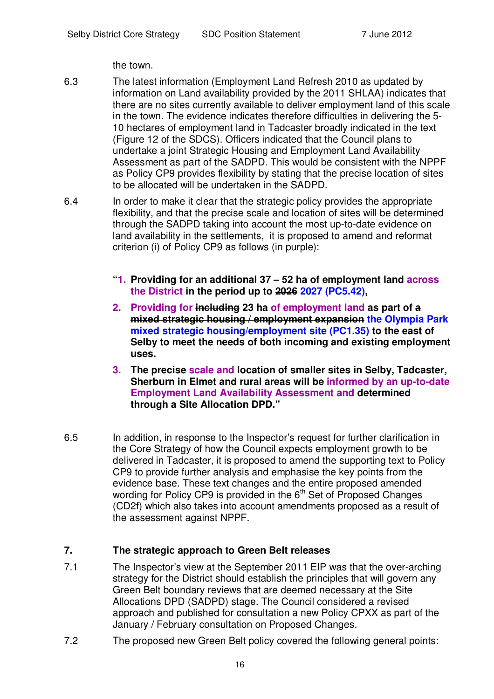the town.

- 6.3 The latest information (Employment Land Refresh 2010 as updated by information on Land availability provided by the 2011 SHLAA) indicates that there are no sites currently available to deliver employment land of this scale in the town. The evidence indicates therefore difficulties in delivering the 5- 10 hectares of employment land in Tadcaster broadly indicated in the text (Figure 12 of the SDCS). Officers indicated that the Council plans to undertake a joint Strategic Housing and Employment Land Availability Assessment as part of the SADPD. This would be consistent with the NPPF as Policy CP9 provides flexibility by stating that the precise location of sites to be allocated will be undertaken in the SADPD.
- 6.4 In order to make it clear that the strategic policy provides the appropriate flexibility, and that the precise scale and location of sites will be determined through the SADPD taking into account the most up-to-date evidence on land availability in the settlements, it is proposed to amend and reformat criterion (i) of Policy CP9 as follows (in purple):
	- **"1. Providing for an additional 37 – 52 ha of employment land across the District in the period up to 2026 2027 (PC5.42),**
	- **2. Providing for including 23 ha of employment land as part of a mixed strategic housing / employment expansion the Olympia Park mixed strategic housing/employment site (PC1.35) to the east of Selby to meet the needs of both incoming and existing employment uses.**
	- **3. The precise scale and location of smaller sites in Selby, Tadcaster, Sherburn in Elmet and rural areas will be informed by an up-to-date Employment Land Availability Assessment and determined through a Site Allocation DPD."**
- 6.5 In addition, in response to the Inspector's request for further clarification in the Core Strategy of how the Council expects employment growth to be delivered in Tadcaster, it is proposed to amend the supporting text to Policy CP9 to provide further analysis and emphasise the key points from the evidence base. These text changes and the entire proposed amended wording for Policy CP9 is provided in the  $6<sup>th</sup>$  Set of Proposed Changes (CD2f) which also takes into account amendments proposed as a result of the assessment against NPPF.

# **7. The strategic approach to Green Belt releases**

- 7.1 The Inspector's view at the September 2011 EIP was that the over-arching strategy for the District should establish the principles that will govern any Green Belt boundary reviews that are deemed necessary at the Site Allocations DPD (SADPD) stage. The Council considered a revised approach and published for consultation a new Policy CPXX as part of the January / February consultation on Proposed Changes.
- 7.2 The proposed new Green Belt policy covered the following general points: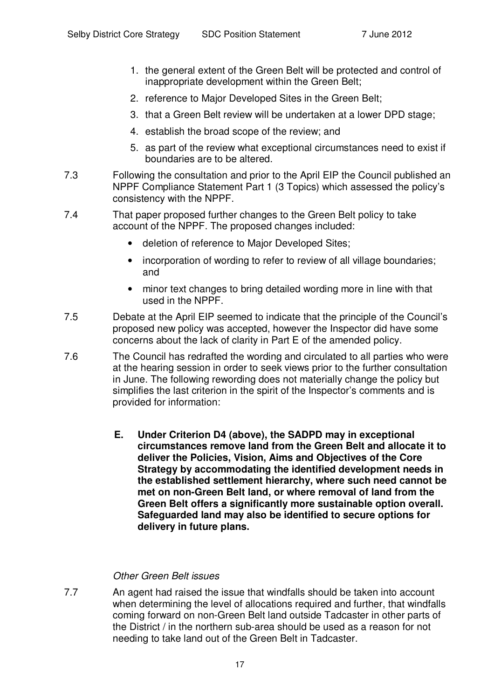- 1. the general extent of the Green Belt will be protected and control of inappropriate development within the Green Belt;
- 2. reference to Major Developed Sites in the Green Belt;
- 3. that a Green Belt review will be undertaken at a lower DPD stage;
- 4. establish the broad scope of the review; and
- 5. as part of the review what exceptional circumstances need to exist if boundaries are to be altered.
- 7.3 Following the consultation and prior to the April EIP the Council published an NPPF Compliance Statement Part 1 (3 Topics) which assessed the policy's consistency with the NPPF.
- 7.4 That paper proposed further changes to the Green Belt policy to take account of the NPPF. The proposed changes included:
	- deletion of reference to Major Developed Sites;
	- incorporation of wording to refer to review of all village boundaries; and
	- minor text changes to bring detailed wording more in line with that used in the NPPF.
- 7.5 Debate at the April EIP seemed to indicate that the principle of the Council's proposed new policy was accepted, however the Inspector did have some concerns about the lack of clarity in Part E of the amended policy.
- 7.6 The Council has redrafted the wording and circulated to all parties who were at the hearing session in order to seek views prior to the further consultation in June. The following rewording does not materially change the policy but simplifies the last criterion in the spirit of the Inspector's comments and is provided for information:
	- **E. Under Criterion D4 (above), the SADPD may in exceptional circumstances remove land from the Green Belt and allocate it to deliver the Policies, Vision, Aims and Objectives of the Core Strategy by accommodating the identified development needs in the established settlement hierarchy, where such need cannot be met on non-Green Belt land, or where removal of land from the Green Belt offers a significantly more sustainable option overall. Safeguarded land may also be identified to secure options for delivery in future plans.**

#### *Other Green Belt issues*

7.7 An agent had raised the issue that windfalls should be taken into account when determining the level of allocations required and further, that windfalls coming forward on non-Green Belt land outside Tadcaster in other parts of the District / in the northern sub-area should be used as a reason for not needing to take land out of the Green Belt in Tadcaster.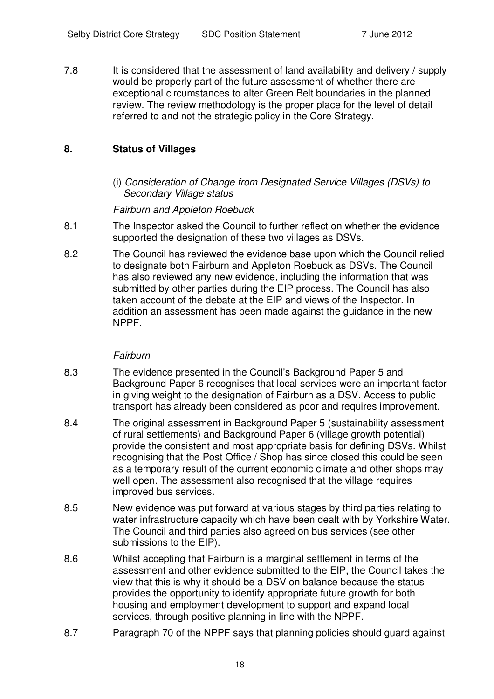7.8 It is considered that the assessment of land availability and delivery / supply would be properly part of the future assessment of whether there are exceptional circumstances to alter Green Belt boundaries in the planned review. The review methodology is the proper place for the level of detail referred to and not the strategic policy in the Core Strategy.

#### **8. Status of Villages**

(i) *Consideration of Change from Designated Service Villages (DSVs) to Secondary Village status*

*Fairburn and Appleton Roebuck*

- 8.1 The Inspector asked the Council to further reflect on whether the evidence supported the designation of these two villages as DSVs.
- 8.2 The Council has reviewed the evidence base upon which the Council relied to designate both Fairburn and Appleton Roebuck as DSVs. The Council has also reviewed any new evidence, including the information that was submitted by other parties during the EIP process. The Council has also taken account of the debate at the EIP and views of the Inspector. In addition an assessment has been made against the guidance in the new NPPF.

#### *Fairburn*

- 8.3 The evidence presented in the Council's Background Paper 5 and Background Paper 6 recognises that local services were an important factor in giving weight to the designation of Fairburn as a DSV. Access to public transport has already been considered as poor and requires improvement.
- 8.4 The original assessment in Background Paper 5 (sustainability assessment of rural settlements) and Background Paper 6 (village growth potential) provide the consistent and most appropriate basis for defining DSVs. Whilst recognising that the Post Office / Shop has since closed this could be seen as a temporary result of the current economic climate and other shops may well open. The assessment also recognised that the village requires improved bus services.
- 8.5 New evidence was put forward at various stages by third parties relating to water infrastructure capacity which have been dealt with by Yorkshire Water. The Council and third parties also agreed on bus services (see other submissions to the EIP).
- 8.6 Whilst accepting that Fairburn is a marginal settlement in terms of the assessment and other evidence submitted to the EIP, the Council takes the view that this is why it should be a DSV on balance because the status provides the opportunity to identify appropriate future growth for both housing and employment development to support and expand local services, through positive planning in line with the NPPF.
- 8.7 Paragraph 70 of the NPPF says that planning policies should guard against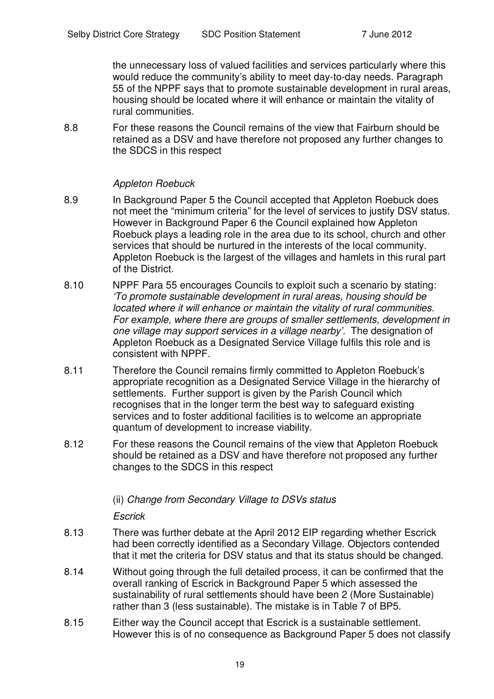the unnecessary loss of valued facilities and services particularly where this would reduce the community's ability to meet day-to-day needs. Paragraph 55 of the NPPF says that to promote sustainable development in rural areas, housing should be located where it will enhance or maintain the vitality of rural communities.

8.8 For these reasons the Council remains of the view that Fairburn should be retained as a DSV and have therefore not proposed any further changes to the SDCS in this respect

#### *Appleton Roebuck*

- 8.9 In Background Paper 5 the Council accepted that Appleton Roebuck does not meet the "minimum criteria" for the level of services to justify DSV status. However in Background Paper 6 the Council explained how Appleton Roebuck plays a leading role in the area due to its school, church and other services that should be nurtured in the interests of the local community. Appleton Roebuck is the largest of the villages and hamlets in this rural part of the District.
- 8.10 NPPF Para 55 encourages Councils to exploit such a scenario by stating: *'To promote sustainable development in rural areas, housing should be located where it will enhance or maintain the vitality of rural communities. For example, where there are groups of smaller settlements, development in one village may support services in a village nearby'.* The designation of Appleton Roebuck as a Designated Service Village fulfils this role and is consistent with NPPF.
- 8.11 Therefore the Council remains firmly committed to Appleton Roebuck's appropriate recognition as a Designated Service Village in the hierarchy of settlements. Further support is given by the Parish Council which recognises that in the longer term the best way to safeguard existing services and to foster additional facilities is to welcome an appropriate quantum of development to increase viability.
- 8.12 For these reasons the Council remains of the view that Appleton Roebuck should be retained as a DSV and have therefore not proposed any further changes to the SDCS in this respect

#### (ii) *Change from Secondary Village to DSVs status*

*Escrick*

- 8.13 There was further debate at the April 2012 EIP regarding whether Escrick had been correctly identified as a Secondary Village. Objectors contended that it met the criteria for DSV status and that its status should be changed.
- 8.14 Without going through the full detailed process, it can be confirmed that the overall ranking of Escrick in Background Paper 5 which assessed the sustainability of rural settlements should have been 2 (More Sustainable) rather than 3 (less sustainable). The mistake is in Table 7 of BP5.
- 8.15 Either way the Council accept that Escrick is a sustainable settlement. However this is of no consequence as Background Paper 5 does not classify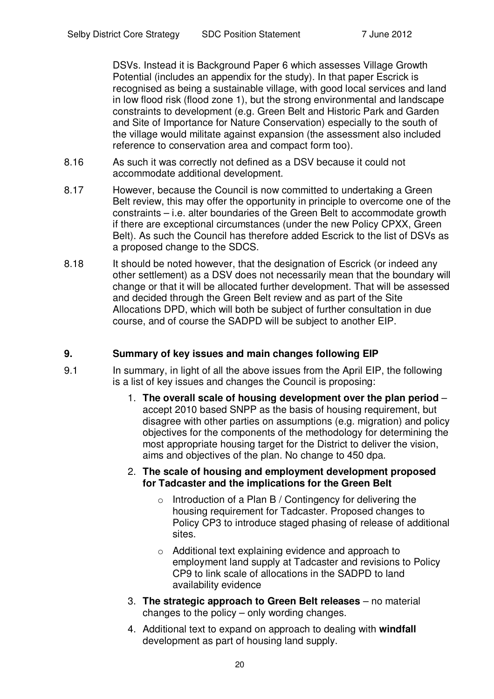DSVs. Instead it is Background Paper 6 which assesses Village Growth Potential (includes an appendix for the study). In that paper Escrick is recognised as being a sustainable village, with good local services and land in low flood risk (flood zone 1), but the strong environmental and landscape constraints to development (e.g. Green Belt and Historic Park and Garden and Site of Importance for Nature Conservation) especially to the south of the village would militate against expansion (the assessment also included reference to conservation area and compact form too).

- 8.16 As such it was correctly not defined as a DSV because it could not accommodate additional development.
- 8.17 However, because the Council is now committed to undertaking a Green Belt review, this may offer the opportunity in principle to overcome one of the constraints – i.e. alter boundaries of the Green Belt to accommodate growth if there are exceptional circumstances (under the new Policy CPXX, Green Belt). As such the Council has therefore added Escrick to the list of DSVs as a proposed change to the SDCS.
- 8.18 It should be noted however, that the designation of Escrick (or indeed any other settlement) as a DSV does not necessarily mean that the boundary will change or that it will be allocated further development. That will be assessed and decided through the Green Belt review and as part of the Site Allocations DPD, which will both be subject of further consultation in due course, and of course the SADPD will be subject to another EIP.

## **9. Summary of key issues and main changes following EIP**

- 9.1 In summary, in light of all the above issues from the April EIP, the following is a list of key issues and changes the Council is proposing:
	- 1. **The overall scale of housing development over the plan period** accept 2010 based SNPP as the basis of housing requirement, but disagree with other parties on assumptions (e.g. migration) and policy objectives for the components of the methodology for determining the most appropriate housing target for the District to deliver the vision, aims and objectives of the plan. No change to 450 dpa.

#### 2. **The scale of housing and employment development proposed for Tadcaster and the implications for the Green Belt**

- $\circ$  Introduction of a Plan B / Contingency for delivering the housing requirement for Tadcaster. Proposed changes to Policy CP3 to introduce staged phasing of release of additional sites.
- o Additional text explaining evidence and approach to employment land supply at Tadcaster and revisions to Policy CP9 to link scale of allocations in the SADPD to land availability evidence
- 3. **The strategic approach to Green Belt releases** no material changes to the policy – only wording changes.
- 4. Additional text to expand on approach to dealing with **windfall** development as part of housing land supply.